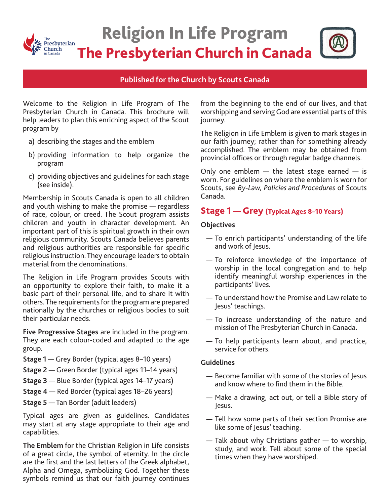

# Religion In Life Program The Presbyterian Church in Canada

## **Published for the Church by Scouts Canada**

Welcome to the Religion in Life Program of The Presbyterian Church in Canada. This brochure will help leaders to plan this enriching aspect of the Scout program by

- a) describing the stages and the emblem
- b) providing information to help organize the program
- c) providing objectives and guidelines for each stage (see inside).

Membership in Scouts Canada is open to all children and youth wishing to make the promise — regardless of race, colour, or creed. The Scout program assists children and youth in character development. An important part of this is spiritual growth in their own religious community. Scouts Canada believes parents and religious authorities are responsible for specific religious instruction. They encourage leaders to obtain material from the denominations.

The Religion in Life Program provides Scouts with an opportunity to explore their faith, to make it a basic part of their personal life, and to share it with others. The requirements for the program are prepared nationally by the churches or religious bodies to suit their particular needs.

**Five Progressive Stages** are included in the program. They are each colour-coded and adapted to the age group.

- **Stage 1**  Grey Border (typical ages 8–10 years)
- **Stage 2**  Green Border (typical ages 11–14 years)
- **Stage 3** Blue Border (typical ages 14–17 years)
- **Stage 4** Red Border (typical ages 18–26 years)
- **Stage 5** Tan Border (adult leaders)

Typical ages are given as guidelines. Candidates may start at any stage appropriate to their age and capabilities.

**The Emblem** for the Christian Religion in Life consists of a great circle, the symbol of eternity. In the circle are the first and the last letters of the Greek alphabet, Alpha and Omega, symbolizing God. Together these symbols remind us that our faith journey continues

from the beginning to the end of our lives, and that worshipping and serving God are essential parts of this journey.

The Religion in Life Emblem is given to mark stages in our faith journey; rather than for something already accomplished. The emblem may be obtained from provincial offices or through regular badge channels.

Only one emblem  $-$  the latest stage earned  $-$  is worn. For guidelines on where the emblem is worn for Scouts, see *By-Law, Policies and Procedures* of Scouts Canada.

## Stage 1 — Grey (Typical Ages 8–10 Years)

#### **Objectives**

- To enrich participants' understanding of the life and work of Jesus.
- To reinforce knowledge of the importance of worship in the local congregation and to help identify meaningful worship experiences in the participants' lives.
- To understand how the Promise and Law relate to Jesus' teachings.
- To increase understanding of the nature and mission of The Presbyterian Church in Canada.
- To help participants learn about, and practice, service for others.

#### **Guidelines**

- Become familiar with some of the stories of Jesus and know where to find them in the Bible.
- Make a drawing, act out, or tell a Bible story of Jesus.
- Tell how some parts of their section Promise are like some of Jesus' teaching.
- Talk about why Christians gather to worship, study, and work. Tell about some of the special times when they have worshiped.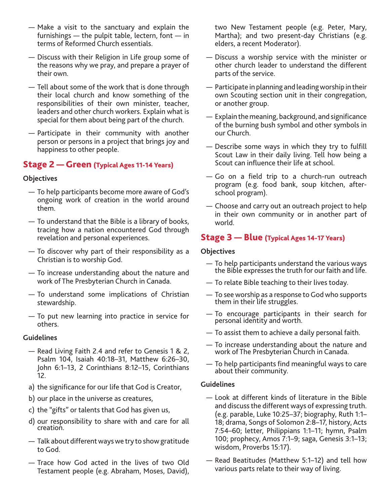- Make a visit to the sanctuary and explain the furnishings — the pulpit table, lectern, font — in terms of Reformed Church essentials.
- Discuss with their Religion in Life group some of the reasons why we pray, and prepare a prayer of their own.
- Tell about some of the work that is done through their local church and know something of the responsibilities of their own minister, teacher, leaders and other church workers. Explain what is special for them about being part of the church.
- Participate in their community with another person or persons in a project that brings joy and happiness to other people.

## Stage 2 — Green (Typical Ages 11-14 Years)

#### **Objectives**

- To help participants become more aware of God's ongoing work of creation in the world around them.
- To understand that the Bible is a library of books, tracing how a nation encountered God through revelation and personal experiences.
- To discover why part of their responsibility as a Christian is to worship God.
- To increase understanding about the nature and work of The Presbyterian Church in Canada.
- To understand some implications of Christian stewardship.
- To put new learning into practice in service for others.

#### **Guidelines**

- Read Living Faith 2.4 and refer to Genesis 1 & 2, Psalm 104, Isaiah 40:18–31, Matthew 6:26–30, John 6:1–13, 2 Corinthians 8:12–15, Corinthians 12.
- a) the significance for our life that God is Creator,
- b) our place in the universe as creatures,
- c) the "gifts" or talents that God has given us,
- d) our responsibility to share with and care for all creation.
- Talk about different ways we try to show gratitude to God.
- Trace how God acted in the lives of two Old Testament people (e.g. Abraham, Moses, David),

two New Testament people (e.g. Peter, Mary, Martha); and two present-day Christians (e.g. elders, a recent Moderator).

- Discuss a worship service with the minister or other church leader to understand the different parts of the service.
- Participate in planning and leading worship in their own Scouting section unit in their congregation, or another group.
- Explain the meaning, background, and significance of the burning bush symbol and other symbols in our Church.
- Describe some ways in which they try to fulfill Scout Law in their daily living. Tell how being a Scout can influence their life at school.
- Go on a field trip to a church-run outreach program (e.g. food bank, soup kitchen, afterschool program).
- Choose and carry out an outreach project to help in their own community or in another part of world.

## Stage 3 — Blue (Typical Ages 14-17 Years)

#### **Objectives**

- To help participants understand the various ways the Bible expresses the truth for our faith and life.
- To relate Bible teaching to their lives today.
- To see worship as a response to God who supports them in their life struggles.
- To encourage participants in their search for personal identity and worth.
- To assist them to achieve a daily personal faith.
- To increase understanding about the nature and work of The Presbyterian Church in Canada.
- To help participants find meaningful ways to care about their community.

#### **Guidelines**

- Look at different kinds of literature in the Bible and discuss the different ways of expressing truth. (e.g. parable, Luke 10:25–37; biography, Ruth 1:1– 18; drama, Songs of Solomon 2:8–17, history, Acts 7:54–60; letter, Philippians 1:1–11; hymn, Psalm 100; prophecy, Amos 7:1–9; saga, Genesis 3:1–13; wisdom, Proverbs 15:17).
- Read Beatitudes (Matthew 5:1–12) and tell how various parts relate to their way of living.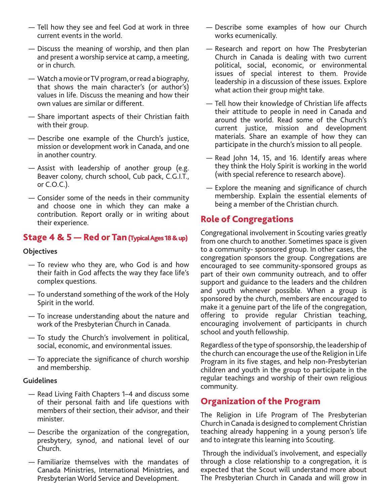- Tell how they see and feel God at work in three current events in the world.
- Discuss the meaning of worship, and then plan and present a worship service at camp, a meeting, or in church.
- Watch a movie or TV program, or read a biography, that shows the main character's (or author's) values in life. Discuss the meaning and how their own values are similar or different.
- Share important aspects of their Christian faith with their group.
- Describe one example of the Church's justice, mission or development work in Canada, and one in another country.
- Assist with leadership of another group (e.g. Beaver colony, church school, Cub pack, C.G.I.T., or C.O.C.).
- Consider some of the needs in their community and choose one in which they can make a contribution. Report orally or in writing about their experience.

## Stage 4 & 5 — Red or Tan (Typical Ages 18 & up)

#### **Objectives**

- To review who they are, who God is and how their faith in God affects the way they face life's complex questions.
- To understand something of the work of the Holy Spirit in the world.
- To increase understanding about the nature and work of the Presbyterian Church in Canada.
- To study the Church's involvement in political, social, economic, and environmental issues.
- To appreciate the significance of church worship and membership.

#### **Guidelines**

- Read Living Faith Chapters 1–4 and discuss some of their personal faith and life questions with members of their section, their advisor, and their minister.
- Describe the organization of the congregation, presbytery, synod, and national level of our Church.
- Familiarize themselves with the mandates of Canada Ministries, International Ministries, and Presbyterian World Service and Development.
- Describe some examples of how our Church works ecumenically.
- Research and report on how The Presbyterian Church in Canada is dealing with two current political, social, economic, or environmental issues of special interest to them. Provide leadership in a discussion of these issues. Explore what action their group might take.
- Tell how their knowledge of Christian life affects their attitude to people in need in Canada and around the world. Read some of the Church's current justice, mission and development materials. Share an example of how they can participate in the church's mission to all people.
- Read John 14, 15, and 16. Identify areas where they think the Holy Spirit is working in the world (with special reference to research above).
- Explore the meaning and significance of church membership. Explain the essential elements of being a member of the Christian church.

# Role of Congregations

Congregational involvement in Scouting varies greatly from one church to another. Sometimes space is given to a community- sponsored group. In other cases, the congregation sponsors the group. Congregations are encouraged to see community-sponsored groups as part of their own community outreach, and to offer support and guidance to the leaders and the children and youth whenever possible. When a group is sponsored by the church, members are encouraged to make it a genuine part of the life of the congregation, offering to provide regular Christian teaching, encouraging involvement of participants in church school and youth fellowship.

Regardless of the type of sponsorship, the leadership of the church can encourage the use of the Religion in Life Program in its five stages, and help non-Presbyterian children and youth in the group to participate in the regular teachings and worship of their own religious community.

# Organization of the Program

The Religion in Life Program of The Presbyterian Church in Canada is designed to complement Christian teaching already happening in a young person's life and to integrate this learning into Scouting.

 Through the individual's involvement, and especially through a close relationship to a congregation, it is expected that the Scout will understand more about The Presbyterian Church in Canada and will grow in